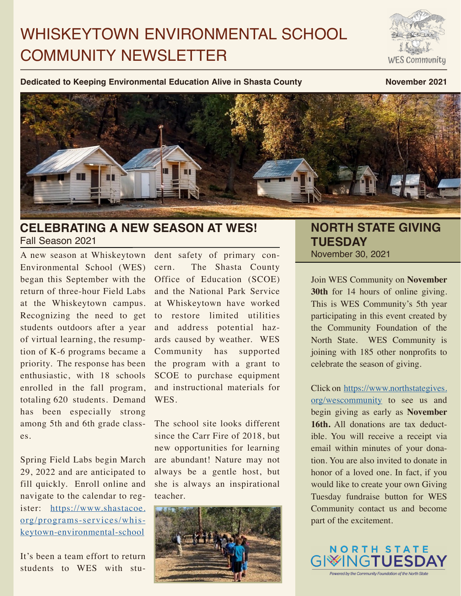# WHISKEYTOWN ENVIRONMENTAL SCHOOL COMMUNITY NEWSLETTER

WES Community

**Dedicated to Keeping Environmental Education Alive in Shasta County Movember 2021** 



# **CELEBRATING A NEW SEASON AT WES!** Fall Season 2021

A new season at Whiskeytown Environmental School (WES) began this September with the return of three-hour Field Labs at the Whiskeytown campus. Recognizing the need to get students outdoors after a year of virtual learning, the resumption of K-6 programs became a priority. The response has been enthusiastic, with 18 schools enrolled in the fall program, totaling 620 students. Demand has been especially strong among 5th and 6th grade classes.

Spring Field Labs begin March 29, 2022 and are anticipated to fill quickly. Enroll online and navigate to the calendar to register: [https://www.shastacoe.](https://www.shastacoe.org/programs-services/whiskeytown-environmental-school) [org/programs-services/whis](https://www.shastacoe.org/programs-services/whiskeytown-environmental-school)[keytown-environmental-school](https://www.shastacoe.org/programs-services/whiskeytown-environmental-school)

It's been a team effort to return students to WES with student safety of primary concern. The Shasta County Office of Education (SCOE) and the National Park Service at Whiskeytown have worked to restore limited utilities and address potential hazards caused by weather. WES Community has supported the program with a grant to SCOE to purchase equipment and instructional materials for WES.

The school site looks different since the Carr Fire of 2018, but new opportunities for learning are abundant! Nature may not always be a gentle host, but she is always an inspirational teacher.



### **NORTH STATE GIVING TUESDAY** November 30, 2021

Join WES Community on **November 30th** for 14 hours of online giving. This is WES Community's 5th year participating in this event created by the Community Foundation of the North State. WES Community is joining with 185 other nonprofits to celebrate the season of giving.

Click on [https://www.northstategives.](https://www.northstategives.org/wescommunity) [org/wescommunity](https://www.northstategives.org/wescommunity) to see us and begin giving as early as **November 16th.** All donations are tax deductible. You will receive a receipt via email within minutes of your donation. You are also invited to donate in honor of a loved one. In fact, if you would like to create your own Giving Tuesday fundraise button for WES Community contact us and become part of the excitement.

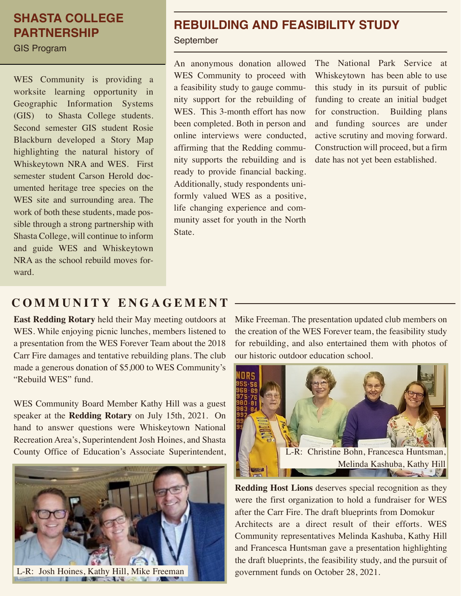# **SHASTA COLLEGE PARTNERSHIP**

GIS Program

WES Community is providing a worksite learning opportunity in Geographic Information Systems (GIS) to Shasta College students. Second semester GIS student Rosie Blackburn developed a Story Map highlighting the natural history of Whiskeytown NRA and WES. First semester student Carson Herold documented heritage tree species on the WES site and surrounding area. The work of both these students, made possible through a strong partnership with Shasta College, will continue to inform and guide WES and Whiskeytown NRA as the school rebuild moves forward.

# **REBUILDING AND FEASIBILITY STUDY**

September

An anonymous donation allowed WES Community to proceed with a feasibility study to gauge community support for the rebuilding of WES. This 3-month effort has now been completed. Both in person and online interviews were conducted, affirming that the Redding community supports the rebuilding and is ready to provide financial backing. Additionally, study respondents uniformly valued WES as a positive, life changing experience and community asset for youth in the North State.

The National Park Service at Whiskeytown has been able to use this study in its pursuit of public funding to create an initial budget for construction. Building plans and funding sources are under active scrutiny and moving forward. Construction will proceed, but a firm date has not yet been established.

# **COMMUNITY ENGAGEMENT**

**East Redding Rotary** held their May meeting outdoors at WES. While enjoying picnic lunches, members listened to a presentation from the WES Forever Team about the 2018 Carr Fire damages and tentative rebuilding plans. The club made a generous donation of \$5,000 to WES Community's "Rebuild WES" fund.

WES Community Board Member Kathy Hill was a guest speaker at the **Redding Rotary** on July 15th, 2021. On hand to answer questions were Whiskeytown National Recreation Area's, Superintendent Josh Hoines, and Shasta County Office of Education's Associate Superintendent,



Mike Freeman. The presentation updated club members on the creation of the WES Forever team, the feasibility study for rebuilding, and also entertained them with photos of our historic outdoor education school.



**Redding Host Lions** deserves special recognition as they were the first organization to hold a fundraiser for WES after the Carr Fire. The draft blueprints from Domokur Architects are a direct result of their efforts. WES Community representatives Melinda Kashuba, Kathy Hill and Francesca Huntsman gave a presentation highlighting the draft blueprints, the feasibility study, and the pursuit of government funds on October 28, 2021.